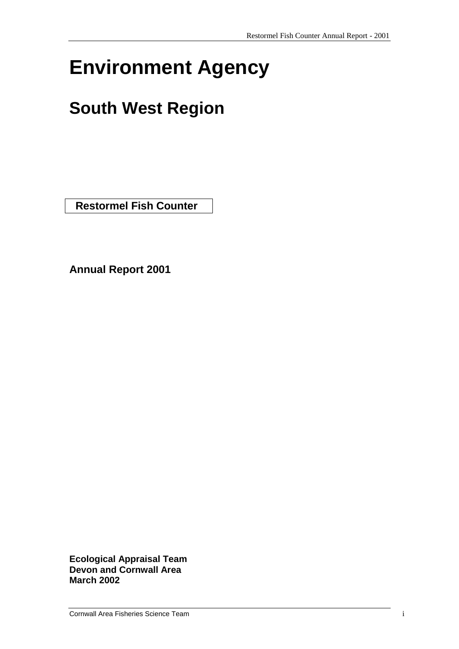# **Environment Agency**

## **South West Region**

 **Restormel Fish Counter** 

**Annual Report 2001**

**Ecological Appraisal Team Devon and Cornwall Area March 2002**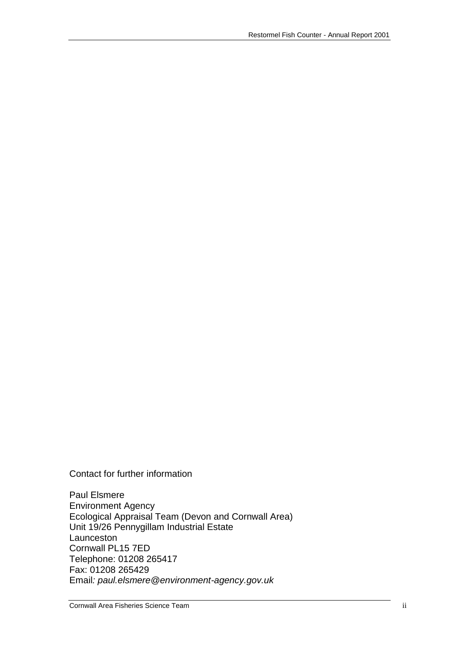Contact for further information

Paul Elsmere Environment Agency Ecological Appraisal Team (Devon and Cornwall Area) Unit 19/26 Pennygillam Industrial Estate Launceston Cornwall PL15 7ED Telephone: 01208 265417 Fax: 01208 265429 Email*: paul.elsmere@environment-agency.gov.uk*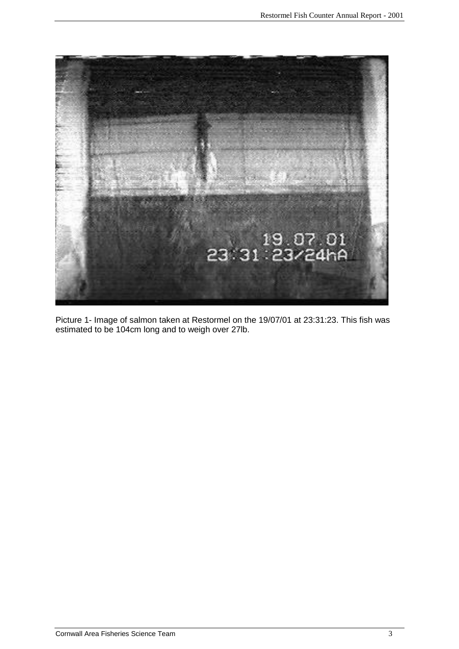

Picture 1- Image of salmon taken at Restormel on the 19/07/01 at 23:31:23. This fish was estimated to be 104cm long and to weigh over 27lb.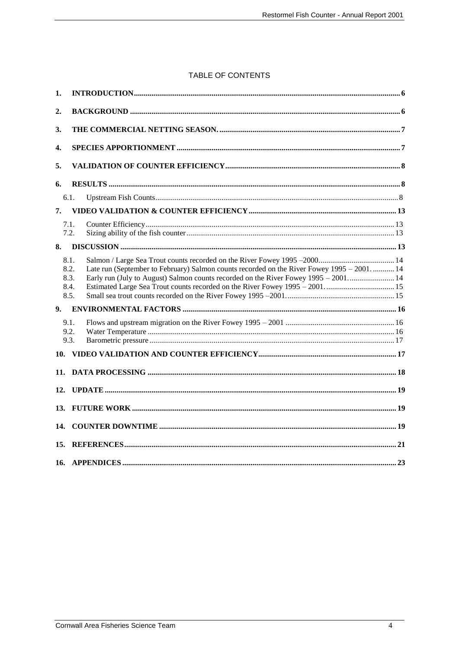#### TABLE OF CONTENTS

| 1.               |                                                                                                                                                                                                                            |  |
|------------------|----------------------------------------------------------------------------------------------------------------------------------------------------------------------------------------------------------------------------|--|
| $\overline{2}$ . |                                                                                                                                                                                                                            |  |
| 3.               |                                                                                                                                                                                                                            |  |
| 4.               |                                                                                                                                                                                                                            |  |
| 5.               |                                                                                                                                                                                                                            |  |
| 6.               |                                                                                                                                                                                                                            |  |
|                  | 6.1.                                                                                                                                                                                                                       |  |
| 7.               |                                                                                                                                                                                                                            |  |
|                  | 7.1.<br>7.2.                                                                                                                                                                                                               |  |
| 8.               |                                                                                                                                                                                                                            |  |
|                  | 8.1.<br>Late run (September to February) Salmon counts recorded on the River Fowey 1995 - 2001.  14<br>8.2.<br>Early run (July to August) Salmon counts recorded on the River Fowey 1995 – 2001 14<br>8.3.<br>8.4.<br>8.5. |  |
| 9 <sub>r</sub>   |                                                                                                                                                                                                                            |  |
|                  | 9.1.<br>9.2.<br>9.3.                                                                                                                                                                                                       |  |
| 11.              |                                                                                                                                                                                                                            |  |
| 12.              |                                                                                                                                                                                                                            |  |
| 13.              |                                                                                                                                                                                                                            |  |
| 14.              |                                                                                                                                                                                                                            |  |
| 15.              |                                                                                                                                                                                                                            |  |
|                  |                                                                                                                                                                                                                            |  |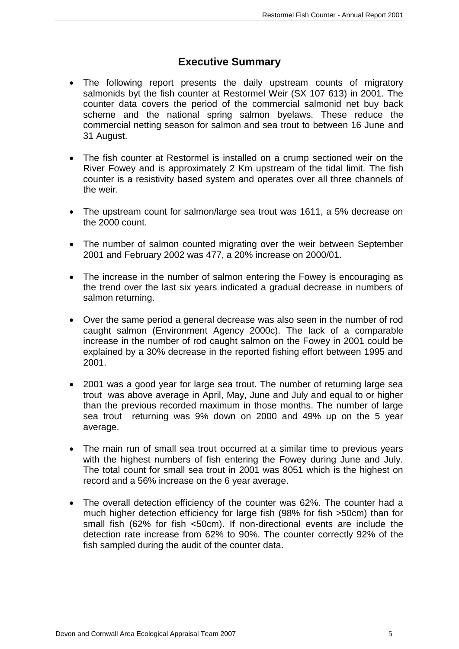## **Executive Summary**

- The following report presents the daily upstream counts of migratory salmonids byt the fish counter at Restormel Weir (SX 107 613) in 2001. The counter data covers the period of the commercial salmonid net buy back scheme and the national spring salmon byelaws. These reduce the commercial netting season for salmon and sea trout to between 16 June and 31 August.
- The fish counter at Restormel is installed on a crump sectioned weir on the River Fowey and is approximately 2 Km upstream of the tidal limit. The fish counter is a resistivity based system and operates over all three channels of the weir.
- The upstream count for salmon/large sea trout was 1611, a 5% decrease on the 2000 count.
- The number of salmon counted migrating over the weir between September 2001 and February 2002 was 477, a 20% increase on 2000/01.
- The increase in the number of salmon entering the Fowey is encouraging as the trend over the last six years indicated a gradual decrease in numbers of salmon returning.
- Over the same period a general decrease was also seen in the number of rod caught salmon (Environment Agency 2000c). The lack of a comparable increase in the number of rod caught salmon on the Fowey in 2001 could be explained by a 30% decrease in the reported fishing effort between 1995 and 2001.
- 2001 was a good year for large sea trout. The number of returning large sea trout was above average in April, May, June and July and equal to or higher than the previous recorded maximum in those months. The number of large sea trout returning was 9% down on 2000 and 49% up on the 5 year average.
- The main run of small sea trout occurred at a similar time to previous years with the highest numbers of fish entering the Fowey during June and July. The total count for small sea trout in 2001 was 8051 which is the highest on record and a 56% increase on the 6 year average.
- The overall detection efficiency of the counter was 62%. The counter had a much higher detection efficiency for large fish (98% for fish >50cm) than for small fish (62% for fish <50cm). If non-directional events are include the detection rate increase from 62% to 90%. The counter correctly 92% of the fish sampled during the audit of the counter data.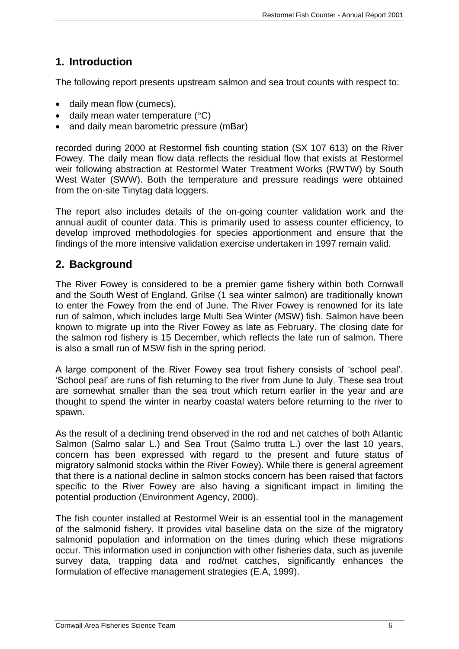## <span id="page-5-0"></span>**1. Introduction**

The following report presents upstream salmon and sea trout counts with respect to:

- daily mean flow (cumecs),
- $\bullet$  daily mean water temperature ( $\degree$ C)
- and daily mean barometric pressure (mBar)

recorded during 2000 at Restormel fish counting station (SX 107 613) on the River Fowey. The daily mean flow data reflects the residual flow that exists at Restormel weir following abstraction at Restormel Water Treatment Works (RWTW) by South West Water (SWW). Both the temperature and pressure readings were obtained from the on-site Tinytag data loggers.

The report also includes details of the on-going counter validation work and the annual audit of counter data. This is primarily used to assess counter efficiency, to develop improved methodologies for species apportionment and ensure that the findings of the more intensive validation exercise undertaken in 1997 remain valid.

## <span id="page-5-1"></span>**2. Background**

The River Fowey is considered to be a premier game fishery within both Cornwall and the South West of England. Grilse (1 sea winter salmon) are traditionally known to enter the Fowey from the end of June. The River Fowey is renowned for its late run of salmon, which includes large Multi Sea Winter (MSW) fish. Salmon have been known to migrate up into the River Fowey as late as February. The closing date for the salmon rod fishery is 15 December, which reflects the late run of salmon. There is also a small run of MSW fish in the spring period.

A large component of the River Fowey sea trout fishery consists of 'school peal'. 'School peal' are runs of fish returning to the river from June to July. These sea trout are somewhat smaller than the sea trout which return earlier in the year and are thought to spend the winter in nearby coastal waters before returning to the river to spawn.

As the result of a declining trend observed in the rod and net catches of both Atlantic Salmon (Salmo salar L.) and Sea Trout (Salmo trutta L.) over the last 10 years, concern has been expressed with regard to the present and future status of migratory salmonid stocks within the River Fowey). While there is general agreement that there is a national decline in salmon stocks concern has been raised that factors specific to the River Fowey are also having a significant impact in limiting the potential production (Environment Agency, 2000).

The fish counter installed at Restormel Weir is an essential tool in the management of the salmonid fishery. It provides vital baseline data on the size of the migratory salmonid population and information on the times during which these migrations occur. This information used in conjunction with other fisheries data, such as juvenile survey data, trapping data and rod/net catches, significantly enhances the formulation of effective management strategies (E.A, 1999).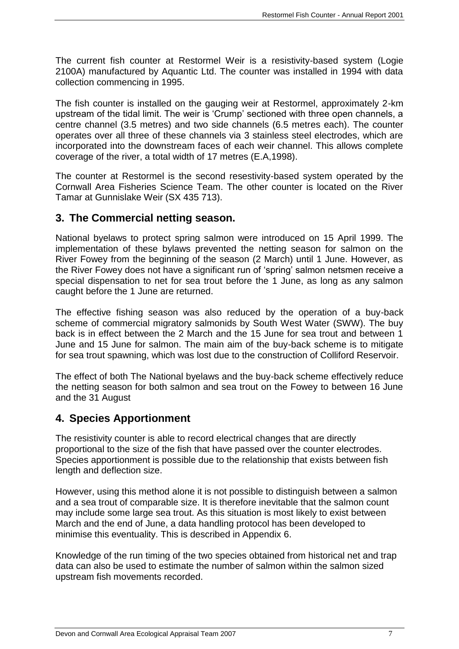The current fish counter at Restormel Weir is a resistivity-based system (Logie 2100A) manufactured by Aquantic Ltd. The counter was installed in 1994 with data collection commencing in 1995.

The fish counter is installed on the gauging weir at Restormel, approximately 2-km upstream of the tidal limit. The weir is 'Crump' sectioned with three open channels, a centre channel (3.5 metres) and two side channels (6.5 metres each). The counter operates over all three of these channels via 3 stainless steel electrodes, which are incorporated into the downstream faces of each weir channel. This allows complete coverage of the river, a total width of 17 metres (E.A,1998).

The counter at Restormel is the second resestivity-based system operated by the Cornwall Area Fisheries Science Team. The other counter is located on the River Tamar at Gunnislake Weir (SX 435 713).

## <span id="page-6-0"></span>**3. The Commercial netting season.**

National byelaws to protect spring salmon were introduced on 15 April 1999. The implementation of these bylaws prevented the netting season for salmon on the River Fowey from the beginning of the season (2 March) until 1 June. However, as the River Fowey does not have a significant run of 'spring' salmon netsmen receive a special dispensation to net for sea trout before the 1 June, as long as any salmon caught before the 1 June are returned.

The effective fishing season was also reduced by the operation of a buy-back scheme of commercial migratory salmonids by South West Water (SWW). The buy back is in effect between the 2 March and the 15 June for sea trout and between 1 June and 15 June for salmon. The main aim of the buy-back scheme is to mitigate for sea trout spawning, which was lost due to the construction of Colliford Reservoir.

The effect of both The National byelaws and the buy-back scheme effectively reduce the netting season for both salmon and sea trout on the Fowey to between 16 June and the 31 August

## <span id="page-6-1"></span>**4. Species Apportionment**

The resistivity counter is able to record electrical changes that are directly proportional to the size of the fish that have passed over the counter electrodes. Species apportionment is possible due to the relationship that exists between fish length and deflection size.

However, using this method alone it is not possible to distinguish between a salmon and a sea trout of comparable size. It is therefore inevitable that the salmon count may include some large sea trout. As this situation is most likely to exist between March and the end of June, a data handling protocol has been developed to minimise this eventuality. This is described in Appendix 6.

Knowledge of the run timing of the two species obtained from historical net and trap data can also be used to estimate the number of salmon within the salmon sized upstream fish movements recorded.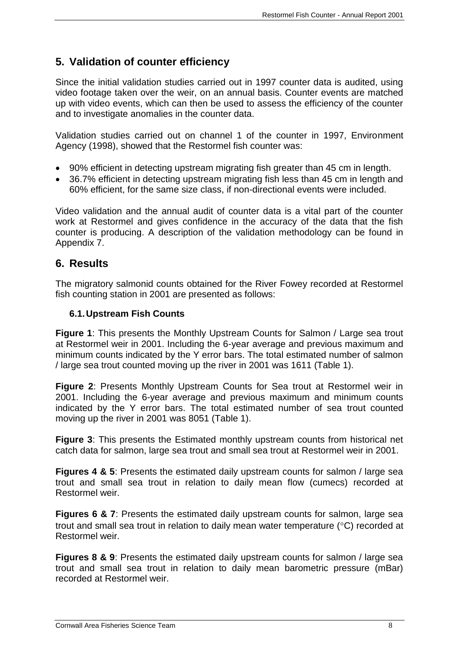## <span id="page-7-0"></span>**5. Validation of counter efficiency**

Since the initial validation studies carried out in 1997 counter data is audited, using video footage taken over the weir, on an annual basis. Counter events are matched up with video events, which can then be used to assess the efficiency of the counter and to investigate anomalies in the counter data.

Validation studies carried out on channel 1 of the counter in 1997, Environment Agency (1998), showed that the Restormel fish counter was:

- 90% efficient in detecting upstream migrating fish greater than 45 cm in length.
- 36.7% efficient in detecting upstream migrating fish less than 45 cm in length and 60% efficient, for the same size class, if non-directional events were included.

Video validation and the annual audit of counter data is a vital part of the counter work at Restormel and gives confidence in the accuracy of the data that the fish counter is producing. A description of the validation methodology can be found in Appendix 7.

## <span id="page-7-1"></span>**6. Results**

The migratory salmonid counts obtained for the River Fowey recorded at Restormel fish counting station in 2001 are presented as follows:

#### <span id="page-7-2"></span>**6.1.Upstream Fish Counts**

**Figure 1:** This presents the Monthly Upstream Counts for Salmon / Large sea trout at Restormel weir in 2001. Including the 6-year average and previous maximum and minimum counts indicated by the Y error bars. The total estimated number of salmon / large sea trout counted moving up the river in 2001 was 1611 (Table 1).

**Figure 2**: Presents Monthly Upstream Counts for Sea trout at Restormel weir in 2001. Including the 6-year average and previous maximum and minimum counts indicated by the Y error bars. The total estimated number of sea trout counted moving up the river in 2001 was 8051 (Table 1).

**Figure 3**: This presents the Estimated monthly upstream counts from historical net catch data for salmon, large sea trout and small sea trout at Restormel weir in 2001.

**Figures 4 & 5**: Presents the estimated daily upstream counts for salmon / large sea trout and small sea trout in relation to daily mean flow (cumecs) recorded at Restormel weir.

**Figures 6 & 7:** Presents the estimated daily upstream counts for salmon, large sea trout and small sea trout in relation to daily mean water temperature  $(^{\circ}C)$  recorded at Restormel weir.

**Figures 8 & 9**: Presents the estimated daily upstream counts for salmon / large sea trout and small sea trout in relation to daily mean barometric pressure (mBar) recorded at Restormel weir.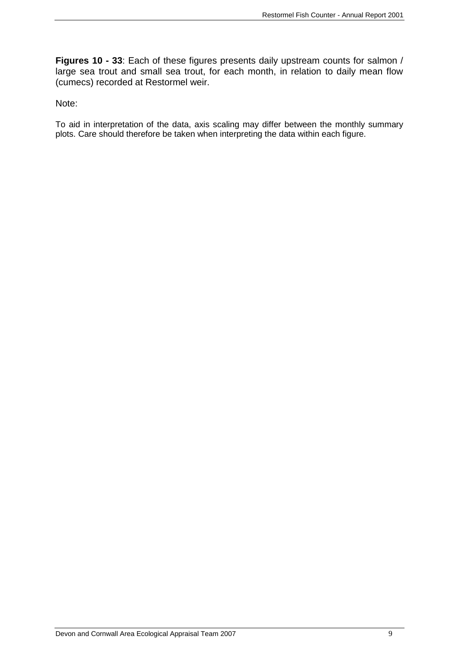**Figures 10 - 33**: Each of these figures presents daily upstream counts for salmon / large sea trout and small sea trout, for each month, in relation to daily mean flow (cumecs) recorded at Restormel weir.

#### Note:

To aid in interpretation of the data, axis scaling may differ between the monthly summary plots. Care should therefore be taken when interpreting the data within each figure.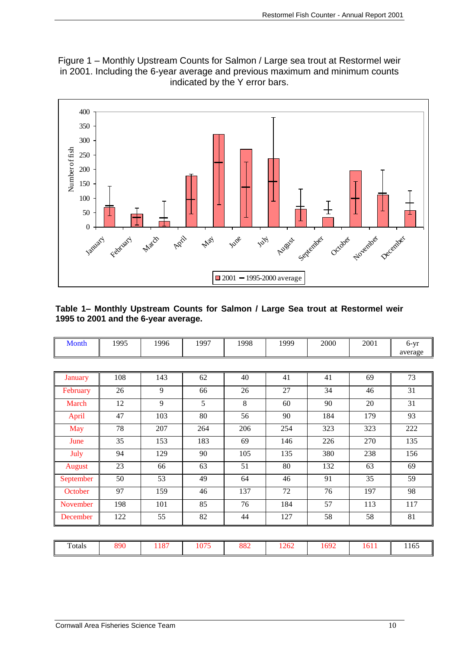Figure 1 – Monthly Upstream Counts for Salmon / Large sea trout at Restormel weir in 2001. Including the 6-year average and previous maximum and minimum counts indicated by the Y error bars.



#### **Table 1– Monthly Upstream Counts for Salmon / Large Sea trout at Restormel weir 1995 to 2001 and the 6-year average.**

| Month          | 1995 | 1996 | 1997 | 1998 | 1999 | 2000 | 2001 | $6-yr$  |
|----------------|------|------|------|------|------|------|------|---------|
|                |      |      |      |      |      |      |      | average |
|                |      |      |      |      |      |      |      |         |
| <b>January</b> | 108  | 143  | 62   | 40   | 41   | 41   | 69   | 73      |
| February       | 26   | 9    | 66   | 26   | 27   | 34   | 46   | 31      |
| March          | 12   | 9    | 5    | 8    | 60   | 90   | 20   | 31      |
| April          | 47   | 103  | 80   | 56   | 90   | 184  | 179  | 93      |
| <b>May</b>     | 78   | 207  | 264  | 206  | 254  | 323  | 323  | 222     |
| June           | 35   | 153  | 183  | 69   | 146  | 226  | 270  | 135     |
| July           | 94   | 129  | 90   | 105  | 135  | 380  | 238  | 156     |
| <b>August</b>  | 23   | 66   | 63   | 51   | 80   | 132  | 63   | 69      |
| September      | 50   | 53   | 49   | 64   | 46   | 91   | 35   | 59      |
| October        | 97   | 159  | 46   | 137  | 72   | 76   | 197  | 98      |
| November       | 198  | 101  | 85   | 76   | 184  | 57   | 113  | 117     |
| December       | 122  | 55   | 82   | 44   | 127  | 58   | 58   | 81      |

| 890<br>ററെ<br>1692<br>$\sim$ $\sim$ $\sim$<br>$\mathbf{r}$<br>$10-1$<br>1262<br>$\sim$<br>-4<br>rotals<br>1011<br>10<br>004<br>~<br>$\cdot$<br>. .<br>---- | - -<br>11 U.J<br>__ |
|------------------------------------------------------------------------------------------------------------------------------------------------------------|---------------------|
|------------------------------------------------------------------------------------------------------------------------------------------------------------|---------------------|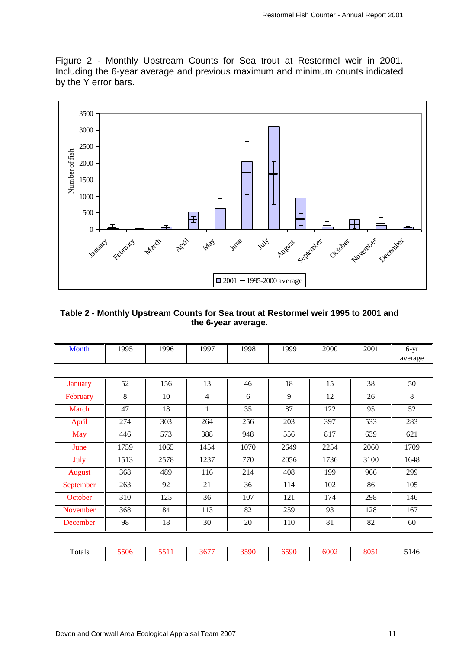Figure 2 - Monthly Upstream Counts for Sea trout at Restormel weir in 2001. Including the 6-year average and previous maximum and minimum counts indicated by the Y error bars.



#### **Table 2 - Monthly Upstream Counts for Sea trout at Restormel weir 1995 to 2001 and the 6-year average.**

| <b>Month</b>   | 1995 | 1996 | 1997         | 1998 | 1999 | 2000 | 2001 | $6-yr$<br>average |
|----------------|------|------|--------------|------|------|------|------|-------------------|
|                |      |      |              |      |      |      |      |                   |
| <b>January</b> | 52   | 156  | 13           | 46   | 18   | 15   | 38   | 50                |
| February       | 8    | 10   | 4            | 6    | 9    | 12   | 26   | 8                 |
| March          | 47   | 18   | $\mathbf{1}$ | 35   | 87   | 122  | 95   | 52                |
| April          | 274  | 303  | 264          | 256  | 203  | 397  | 533  | 283               |
| <b>May</b>     | 446  | 573  | 388          | 948  | 556  | 817  | 639  | 621               |
| June           | 1759 | 1065 | 1454         | 1070 | 2649 | 2254 | 2060 | 1709              |
| July           | 1513 | 2578 | 1237         | 770  | 2056 | 1736 | 3100 | 1648              |
| <b>August</b>  | 368  | 489  | 116          | 214  | 408  | 199  | 966  | 299               |
| September      | 263  | 92   | 21           | 36   | 114  | 102  | 86   | 105               |
| October        | 310  | 125  | 36           | 107  | 121  | 174  | 298  | 146               |
| November       | 368  | 84   | 113          | 82   | 259  | 93   | 128  | 167               |
| December       | 98   | 18   | 30           | 20   | 110  | 81   | 82   | 60                |
|                |      |      |              |      |      |      |      |                   |
| Totals         | 5506 | 5511 | 3677         | 3590 | 6590 | 6002 | 8051 | 5146              |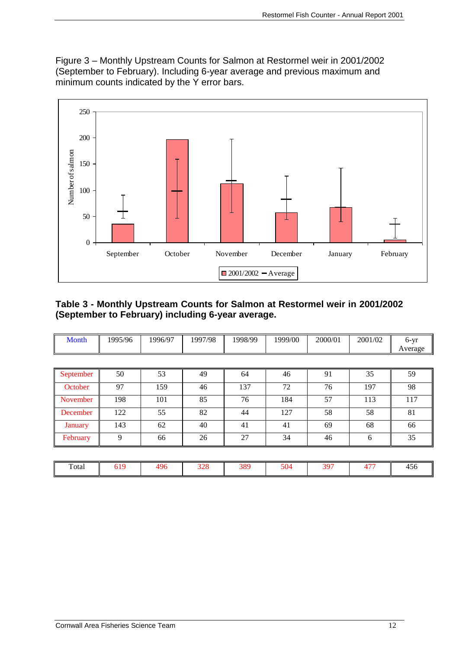Figure 3 – Monthly Upstream Counts for Salmon at Restormel weir in 2001/2002 (September to February). Including 6-year average and previous maximum and minimum counts indicated by the Y error bars.



#### **Table 3 - Monthly Upstream Counts for Salmon at Restormel weir in 2001/2002 (September to February) including 6-year average.**

| Month          | 1995/96 | 1996/97 | 1997/98 | 1998/99 | 1999/00 | 2000/01 | 2001/02 | $6-yr$<br>Average |
|----------------|---------|---------|---------|---------|---------|---------|---------|-------------------|
|                |         |         |         |         |         |         |         |                   |
| September      | 50      | 53      | 49      | 64      | 46      | 91      | 35      | 59                |
| October        | 97      | 159     | 46      | 137     | 72      | 76      | 197     | 98                |
| November       | 198     | 101     | 85      | 76      | 184     | 57      | 113     | 117               |
| December       | 122     | 55      | 82      | 44      | 127     | 58      | 58      | 81                |
| <b>January</b> | 143     | 62      | 40      | 41      | 41      | 69      | 68      | 66                |
| February       | 9       | 66      | 26      | 27      | 34      | 46      | 6       | 35                |
|                |         |         |         |         |         |         |         |                   |

| Total | $\sim$ 1.0<br>. .<br>$U_{\perp}$ | 106 | ററ<br>520 | ാറെ<br>رەد | 504 | $30-$ | 4.77 | $\tilde{\phantom{a}}$<br>᠇৴<br>__ |
|-------|----------------------------------|-----|-----------|------------|-----|-------|------|-----------------------------------|
|-------|----------------------------------|-----|-----------|------------|-----|-------|------|-----------------------------------|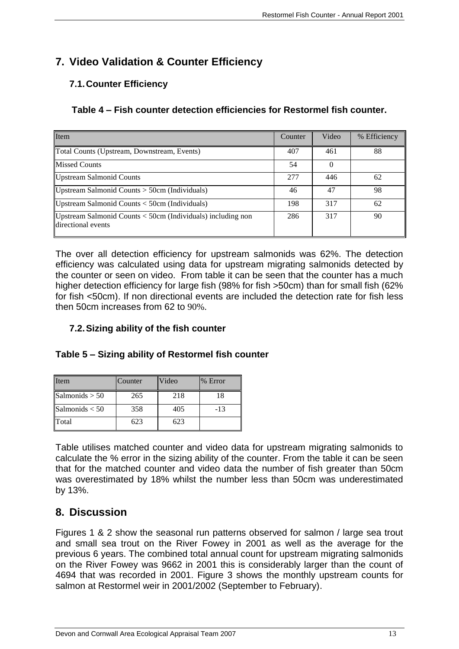## <span id="page-12-0"></span>**7. Video Validation & Counter Efficiency**

## <span id="page-12-1"></span>**7.1.Counter Efficiency**

#### **Table 4 – Fish counter detection efficiencies for Restormel fish counter.**

| Item                                                                              | Counter | Video | % Efficiency |
|-----------------------------------------------------------------------------------|---------|-------|--------------|
| Total Counts (Upstream, Downstream, Events)                                       | 407     | 461   | 88           |
| <b>Missed Counts</b>                                                              | 54      |       |              |
| <b>Upstream Salmonid Counts</b>                                                   | 277     | 446   | 62           |
| Upstream Salmonid Counts $>$ 50cm (Individuals)                                   | 46      | 47    | 98           |
| Upstream Salmonid Counts < 50cm (Individuals)                                     | 198     | 317   | 62           |
| Upstream Salmonid Counts < 50cm (Individuals) including non<br>directional events | 286     | 317   | 90           |

The over all detection efficiency for upstream salmonids was 62%. The detection efficiency was calculated using data for upstream migrating salmonids detected by the counter or seen on video. From table it can be seen that the counter has a much higher detection efficiency for large fish (98% for fish >50cm) than for small fish (62% for fish <50cm). If non directional events are included the detection rate for fish less then 50cm increases from 62 to 90%.

### <span id="page-12-2"></span>**7.2.Sizing ability of the fish counter**

#### **Table 5 – Sizing ability of Restormel fish counter**

| Item             | Counter | Video | % Error |
|------------------|---------|-------|---------|
| Salmonids > 50   | 265     | 218   | 18      |
| Salmonids $<$ 50 | 358     | 405   | $-13$   |
| Total            | 623     | 623   |         |

Table utilises matched counter and video data for upstream migrating salmonids to calculate the % error in the sizing ability of the counter. From the table it can be seen that for the matched counter and video data the number of fish greater than 50cm was overestimated by 18% whilst the number less than 50cm was underestimated by 13%.

## <span id="page-12-3"></span>**8. Discussion**

Figures 1 & 2 show the seasonal run patterns observed for salmon / large sea trout and small sea trout on the River Fowey in 2001 as well as the average for the previous 6 years. The combined total annual count for upstream migrating salmonids on the River Fowey was 9662 in 2001 this is considerably larger than the count of 4694 that was recorded in 2001. Figure 3 shows the monthly upstream counts for salmon at Restormel weir in 2001/2002 (September to February).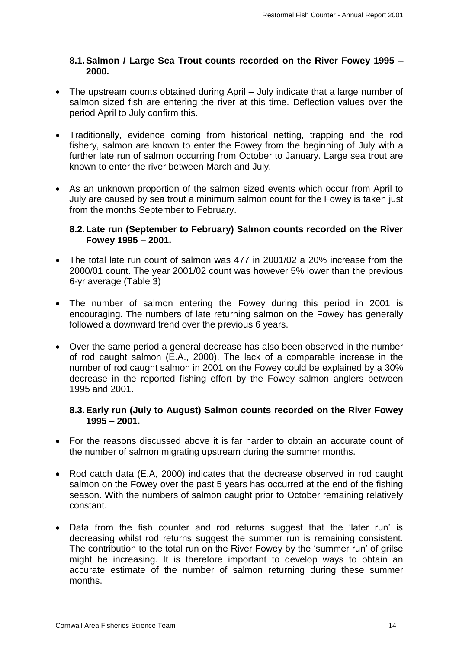#### <span id="page-13-0"></span>**8.1.Salmon / Large Sea Trout counts recorded on the River Fowey 1995 – 2000.**

- The upstream counts obtained during April July indicate that a large number of salmon sized fish are entering the river at this time. Deflection values over the period April to July confirm this.
- Traditionally, evidence coming from historical netting, trapping and the rod fishery, salmon are known to enter the Fowey from the beginning of July with a further late run of salmon occurring from October to January. Large sea trout are known to enter the river between March and July.
- As an unknown proportion of the salmon sized events which occur from April to July are caused by sea trout a minimum salmon count for the Fowey is taken just from the months September to February.

#### <span id="page-13-1"></span>**8.2.Late run (September to February) Salmon counts recorded on the River Fowey 1995 – 2001.**

- The total late run count of salmon was 477 in 2001/02 a 20% increase from the 2000/01 count. The year 2001/02 count was however 5% lower than the previous 6-yr average (Table 3)
- The number of salmon entering the Fowey during this period in 2001 is encouraging. The numbers of late returning salmon on the Fowey has generally followed a downward trend over the previous 6 years.
- Over the same period a general decrease has also been observed in the number of rod caught salmon (E.A., 2000). The lack of a comparable increase in the number of rod caught salmon in 2001 on the Fowey could be explained by a 30% decrease in the reported fishing effort by the Fowey salmon anglers between 1995 and 2001.

#### <span id="page-13-2"></span>**8.3.Early run (July to August) Salmon counts recorded on the River Fowey 1995 – 2001.**

- For the reasons discussed above it is far harder to obtain an accurate count of the number of salmon migrating upstream during the summer months.
- Rod catch data (E.A, 2000) indicates that the decrease observed in rod caught salmon on the Fowey over the past 5 years has occurred at the end of the fishing season. With the numbers of salmon caught prior to October remaining relatively constant.
- Data from the fish counter and rod returns suggest that the 'later run' is decreasing whilst rod returns suggest the summer run is remaining consistent. The contribution to the total run on the River Fowey by the 'summer run' of grilse might be increasing. It is therefore important to develop ways to obtain an accurate estimate of the number of salmon returning during these summer months.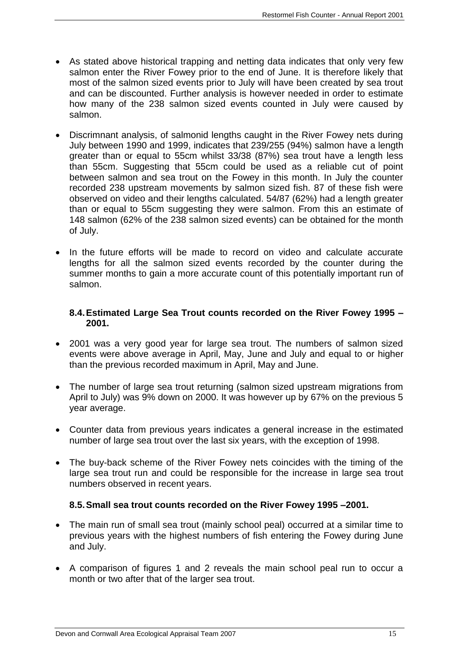- As stated above historical trapping and netting data indicates that only very few salmon enter the River Fowey prior to the end of June. It is therefore likely that most of the salmon sized events prior to July will have been created by sea trout and can be discounted. Further analysis is however needed in order to estimate how many of the 238 salmon sized events counted in July were caused by salmon.
- Discrimnant analysis, of salmonid lengths caught in the River Fowey nets during July between 1990 and 1999, indicates that 239/255 (94%) salmon have a length greater than or equal to 55cm whilst 33/38 (87%) sea trout have a length less than 55cm. Suggesting that 55cm could be used as a reliable cut of point between salmon and sea trout on the Fowey in this month. In July the counter recorded 238 upstream movements by salmon sized fish. 87 of these fish were observed on video and their lengths calculated. 54/87 (62%) had a length greater than or equal to 55cm suggesting they were salmon. From this an estimate of 148 salmon (62% of the 238 salmon sized events) can be obtained for the month of July.
- In the future efforts will be made to record on video and calculate accurate lengths for all the salmon sized events recorded by the counter during the summer months to gain a more accurate count of this potentially important run of salmon.

#### <span id="page-14-0"></span>**8.4.Estimated Large Sea Trout counts recorded on the River Fowey 1995 – 2001.**

- 2001 was a very good year for large sea trout. The numbers of salmon sized events were above average in April, May, June and July and equal to or higher than the previous recorded maximum in April, May and June.
- The number of large sea trout returning (salmon sized upstream migrations from April to July) was 9% down on 2000. It was however up by 67% on the previous 5 year average.
- Counter data from previous years indicates a general increase in the estimated number of large sea trout over the last six years, with the exception of 1998.
- The buy-back scheme of the River Fowey nets coincides with the timing of the large sea trout run and could be responsible for the increase in large sea trout numbers observed in recent years.

#### <span id="page-14-1"></span>**8.5.Small sea trout counts recorded on the River Fowey 1995 –2001.**

- The main run of small sea trout (mainly school peal) occurred at a similar time to previous years with the highest numbers of fish entering the Fowey during June and July.
- A comparison of figures 1 and 2 reveals the main school peal run to occur a month or two after that of the larger sea trout.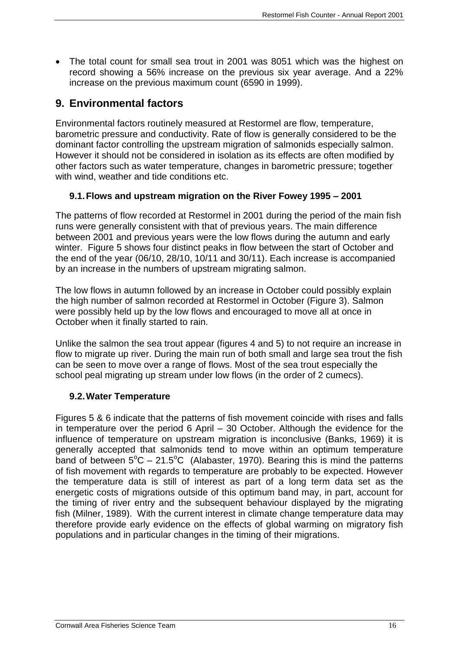The total count for small sea trout in 2001 was 8051 which was the highest on record showing a 56% increase on the previous six year average. And a 22% increase on the previous maximum count (6590 in 1999).

## <span id="page-15-0"></span>**9. Environmental factors**

Environmental factors routinely measured at Restormel are flow, temperature, barometric pressure and conductivity. Rate of flow is generally considered to be the dominant factor controlling the upstream migration of salmonids especially salmon. However it should not be considered in isolation as its effects are often modified by other factors such as water temperature, changes in barometric pressure; together with wind, weather and tide conditions etc.

## <span id="page-15-1"></span>**9.1.Flows and upstream migration on the River Fowey 1995 – 2001**

The patterns of flow recorded at Restormel in 2001 during the period of the main fish runs were generally consistent with that of previous years. The main difference between 2001 and previous years were the low flows during the autumn and early winter. Figure 5 shows four distinct peaks in flow between the start of October and the end of the year (06/10, 28/10, 10/11 and 30/11). Each increase is accompanied by an increase in the numbers of upstream migrating salmon.

The low flows in autumn followed by an increase in October could possibly explain the high number of salmon recorded at Restormel in October (Figure 3). Salmon were possibly held up by the low flows and encouraged to move all at once in October when it finally started to rain.

Unlike the salmon the sea trout appear (figures 4 and 5) to not require an increase in flow to migrate up river. During the main run of both small and large sea trout the fish can be seen to move over a range of flows. Most of the sea trout especially the school peal migrating up stream under low flows (in the order of 2 cumecs).

#### <span id="page-15-2"></span>**9.2.Water Temperature**

Figures 5 & 6 indicate that the patterns of fish movement coincide with rises and falls in temperature over the period 6 April – 30 October. Although the evidence for the influence of temperature on upstream migration is inconclusive (Banks, 1969) it is generally accepted that salmonids tend to move within an optimum temperature band of between  $5^{\circ}$ C – 21.5°C (Alabaster, 1970). Bearing this is mind the patterns of fish movement with regards to temperature are probably to be expected. However the temperature data is still of interest as part of a long term data set as the energetic costs of migrations outside of this optimum band may, in part, account for the timing of river entry and the subsequent behaviour displayed by the migrating fish (Milner, 1989). With the current interest in climate change temperature data may therefore provide early evidence on the effects of global warming on migratory fish populations and in particular changes in the timing of their migrations.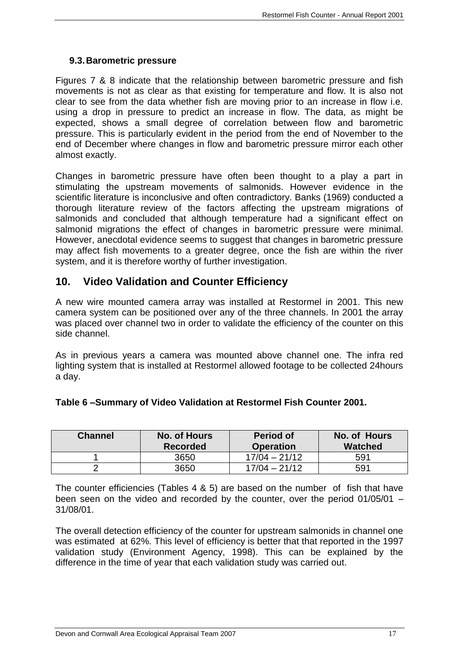#### <span id="page-16-0"></span>**9.3.Barometric pressure**

Figures 7 & 8 indicate that the relationship between barometric pressure and fish movements is not as clear as that existing for temperature and flow. It is also not clear to see from the data whether fish are moving prior to an increase in flow i.e. using a drop in pressure to predict an increase in flow. The data, as might be expected, shows a small degree of correlation between flow and barometric pressure. This is particularly evident in the period from the end of November to the end of December where changes in flow and barometric pressure mirror each other almost exactly.

Changes in barometric pressure have often been thought to a play a part in stimulating the upstream movements of salmonids. However evidence in the scientific literature is inconclusive and often contradictory. Banks (1969) conducted a thorough literature review of the factors affecting the upstream migrations of salmonids and concluded that although temperature had a significant effect on salmonid migrations the effect of changes in barometric pressure were minimal. However, anecdotal evidence seems to suggest that changes in barometric pressure may affect fish movements to a greater degree, once the fish are within the river system, and it is therefore worthy of further investigation.

## <span id="page-16-1"></span>**10. Video Validation and Counter Efficiency**

A new wire mounted camera array was installed at Restormel in 2001. This new camera system can be positioned over any of the three channels. In 2001 the array was placed over channel two in order to validate the efficiency of the counter on this side channel.

As in previous years a camera was mounted above channel one. The infra red lighting system that is installed at Restormel allowed footage to be collected 24hours a day.

| Table 6-Summary of Video Validation at Restormel Fish Counter 2001. |  |
|---------------------------------------------------------------------|--|
|---------------------------------------------------------------------|--|

| <b>Channel</b> | No. of Hours<br><b>Recorded</b> | <b>Period of</b><br><b>Operation</b> | No. of Hours<br><b>Watched</b> |
|----------------|---------------------------------|--------------------------------------|--------------------------------|
|                | 3650                            | $17/04 - 21/12$                      | 591                            |
|                | 3650                            | $17/04 - 21/12$                      | 591                            |

The counter efficiencies (Tables 4 & 5) are based on the number of fish that have been seen on the video and recorded by the counter, over the period 01/05/01 – 31/08/01.

The overall detection efficiency of the counter for upstream salmonids in channel one was estimated at 62%. This level of efficiency is better that that reported in the 1997 validation study (Environment Agency, 1998). This can be explained by the difference in the time of year that each validation study was carried out.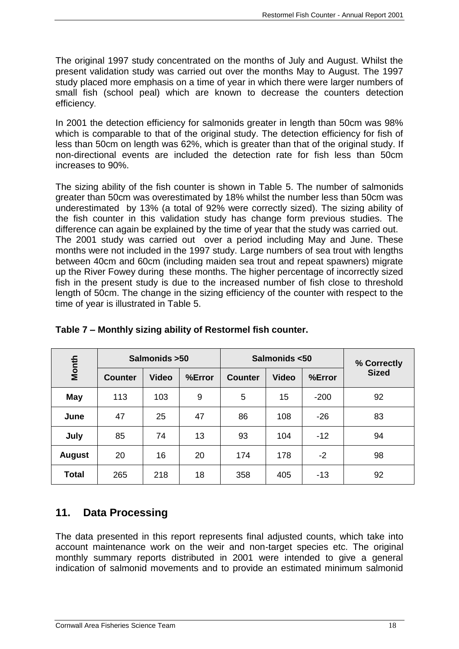The original 1997 study concentrated on the months of July and August. Whilst the present validation study was carried out over the months May to August. The 1997 study placed more emphasis on a time of year in which there were larger numbers of small fish (school peal) which are known to decrease the counters detection efficiency.

In 2001 the detection efficiency for salmonids greater in length than 50cm was 98% which is comparable to that of the original study. The detection efficiency for fish of less than 50cm on length was 62%, which is greater than that of the original study. If non-directional events are included the detection rate for fish less than 50cm increases to 90%.

The sizing ability of the fish counter is shown in Table 5. The number of salmonids greater than 50cm was overestimated by 18% whilst the number less than 50cm was underestimated by 13% (a total of 92% were correctly sized). The sizing ability of the fish counter in this validation study has change form previous studies. The difference can again be explained by the time of year that the study was carried out. The 2001 study was carried out over a period including May and June. These months were not included in the 1997 study. Large numbers of sea trout with lengths between 40cm and 60cm (including maiden sea trout and repeat spawners) migrate up the River Fowey during these months. The higher percentage of incorrectly sized fish in the present study is due to the increased number of fish close to threshold length of 50cm. The change in the sizing efficiency of the counter with respect to the time of year is illustrated in Table 5.

| Month         | Salmonids > 50 |              |        | Salmonids <50  |              |        | % Correctly  |
|---------------|----------------|--------------|--------|----------------|--------------|--------|--------------|
|               | <b>Counter</b> | <b>Video</b> | %Error | <b>Counter</b> | <b>Video</b> | %Error | <b>Sized</b> |
| <b>May</b>    | 113            | 103          | 9      | 5              | 15           | $-200$ | 92           |
| June          | 47             | 25           | 47     | 86             | 108          | $-26$  | 83           |
| July          | 85             | 74           | 13     | 93             | 104          | $-12$  | 94           |
| <b>August</b> | 20             | 16           | 20     | 174            | 178          | $-2$   | 98           |
| <b>Total</b>  | 265            | 218          | 18     | 358            | 405          | $-13$  | 92           |

## **Table 7 – Monthly sizing ability of Restormel fish counter.**

## <span id="page-17-0"></span>**11. Data Processing**

The data presented in this report represents final adjusted counts, which take into account maintenance work on the weir and non-target species etc. The original monthly summary reports distributed in 2001 were intended to give a general indication of salmonid movements and to provide an estimated minimum salmonid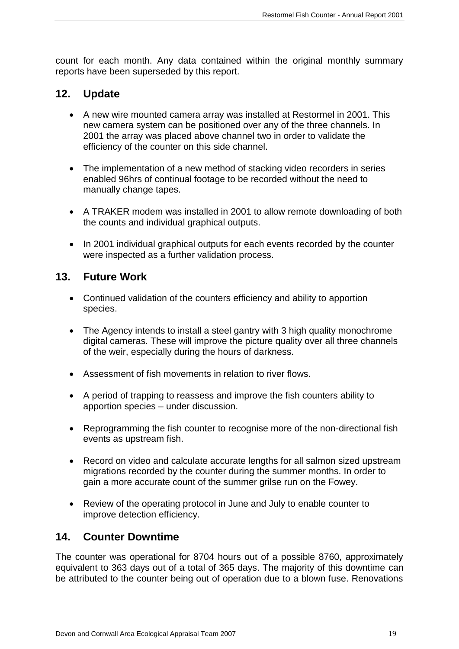count for each month. Any data contained within the original monthly summary reports have been superseded by this report.

## <span id="page-18-0"></span>**12. Update**

- A new wire mounted camera array was installed at Restormel in 2001. This new camera system can be positioned over any of the three channels. In 2001 the array was placed above channel two in order to validate the efficiency of the counter on this side channel.
- The implementation of a new method of stacking video recorders in series enabled 96hrs of continual footage to be recorded without the need to manually change tapes.
- A TRAKER modem was installed in 2001 to allow remote downloading of both the counts and individual graphical outputs.
- In 2001 individual graphical outputs for each events recorded by the counter were inspected as a further validation process.

## <span id="page-18-1"></span>**13. Future Work**

- Continued validation of the counters efficiency and ability to apportion species.
- The Agency intends to install a steel gantry with 3 high quality monochrome digital cameras. These will improve the picture quality over all three channels of the weir, especially during the hours of darkness.
- Assessment of fish movements in relation to river flows.
- A period of trapping to reassess and improve the fish counters ability to apportion species – under discussion.
- Reprogramming the fish counter to recognise more of the non-directional fish events as upstream fish.
- Record on video and calculate accurate lengths for all salmon sized upstream migrations recorded by the counter during the summer months. In order to gain a more accurate count of the summer grilse run on the Fowey.
- Review of the operating protocol in June and July to enable counter to improve detection efficiency.

## <span id="page-18-2"></span>**14. Counter Downtime**

The counter was operational for 8704 hours out of a possible 8760, approximately equivalent to 363 days out of a total of 365 days. The majority of this downtime can be attributed to the counter being out of operation due to a blown fuse. Renovations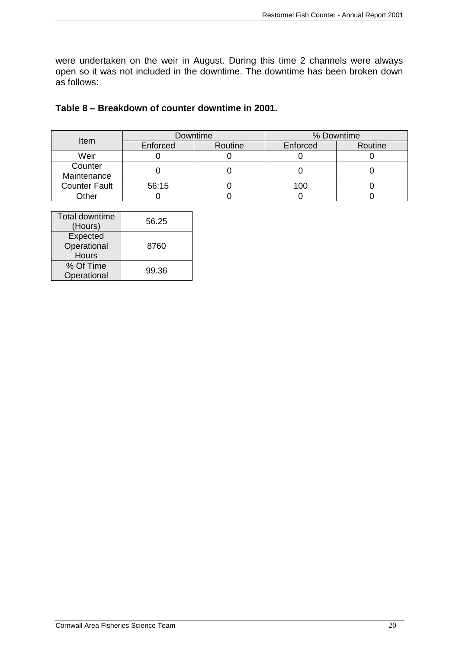were undertaken on the weir in August. During this time 2 channels were always open so it was not included in the downtime. The downtime has been broken down as follows:

#### **Table 8 – Breakdown of counter downtime in 2001.**

| <b>Item</b>            |          | Downtime | % Downtime |         |  |
|------------------------|----------|----------|------------|---------|--|
|                        | Enforced | Routine  | Enforced   | Routine |  |
| Weir                   |          |          |            |         |  |
| Counter<br>Maintenance |          |          |            |         |  |
| <b>Counter Fault</b>   | 56:15    |          | 100        |         |  |
| Other                  |          |          |            |         |  |

| Total downtime<br>(Hours)               | 56.25 |  |
|-----------------------------------------|-------|--|
| Expected<br>Operational<br><b>Hours</b> | 8760  |  |
| % Of Time<br>Operational                | 99.36 |  |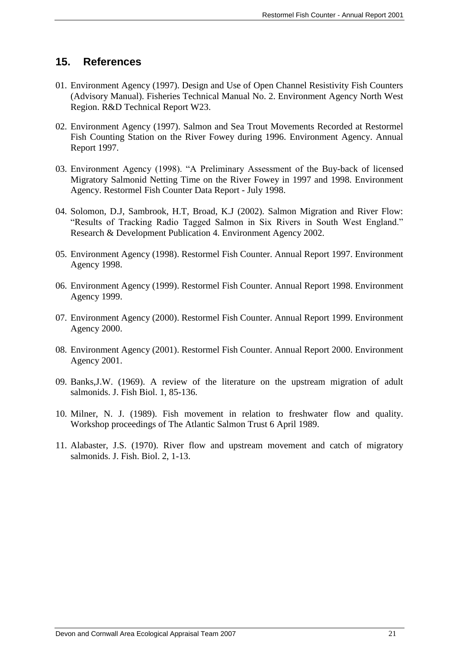#### <span id="page-20-0"></span>**15. References**

- 01. Environment Agency (1997). Design and Use of Open Channel Resistivity Fish Counters (Advisory Manual). Fisheries Technical Manual No. 2. Environment Agency North West Region. R&D Technical Report W23.
- 02. Environment Agency (1997). Salmon and Sea Trout Movements Recorded at Restormel Fish Counting Station on the River Fowey during 1996. Environment Agency. Annual Report 1997.
- 03. Environment Agency (1998). "A Preliminary Assessment of the Buy-back of licensed Migratory Salmonid Netting Time on the River Fowey in 1997 and 1998. Environment Agency. Restormel Fish Counter Data Report - July 1998.
- 04. Solomon, D.J, Sambrook, H.T, Broad, K.J (2002). Salmon Migration and River Flow: "Results of Tracking Radio Tagged Salmon in Six Rivers in South West England." Research & Development Publication 4. Environment Agency 2002.
- 05. Environment Agency (1998). Restormel Fish Counter. Annual Report 1997. Environment Agency 1998.
- 06. Environment Agency (1999). Restormel Fish Counter. Annual Report 1998. Environment Agency 1999.
- 07. Environment Agency (2000). Restormel Fish Counter. Annual Report 1999. Environment Agency 2000.
- 08. Environment Agency (2001). Restormel Fish Counter. Annual Report 2000. Environment Agency 2001.
- 09. Banks,J.W. (1969). A review of the literature on the upstream migration of adult salmonids. J. Fish Biol. 1, 85-136.
- 10. Milner, N. J. (1989). Fish movement in relation to freshwater flow and quality. Workshop proceedings of The Atlantic Salmon Trust 6 April 1989.
- 11. Alabaster, J.S. (1970). River flow and upstream movement and catch of migratory salmonids. J. Fish. Biol. 2, 1-13.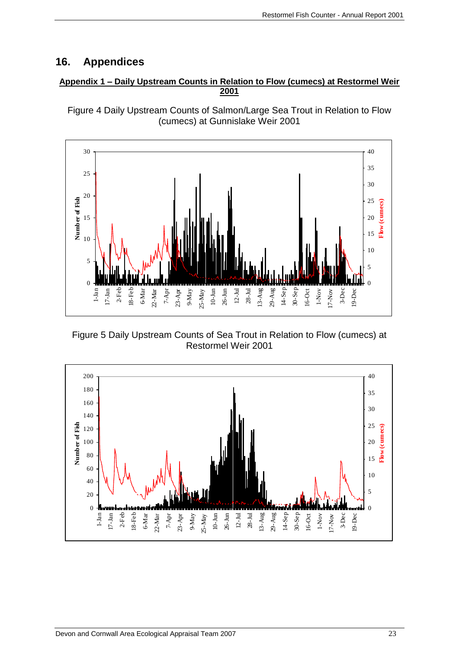## <span id="page-22-0"></span>**16. Appendices**

#### **Appendix 1 – Daily Upstream Counts in Relation to Flow (cumecs) at Restormel Weir 2001**





Figure 5 Daily Upstream Counts of Sea Trout in Relation to Flow (cumecs) at Restormel Weir 2001

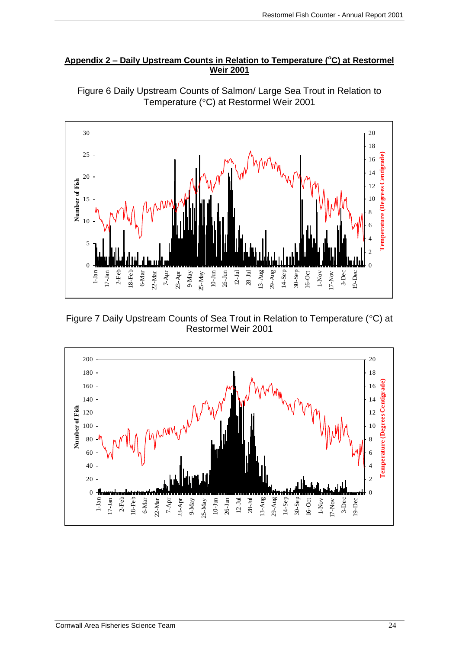#### Appendix 2 – Daily Upstream Counts in Relation to Temperature (°C) at Restormel **Weir 2001**



Figure 6 Daily Upstream Counts of Salmon/ Large Sea Trout in Relation to Temperature (°C) at Restormel Weir 2001

Figure 7 Daily Upstream Counts of Sea Trout in Relation to Temperature (°C) at Restormel Weir 2001

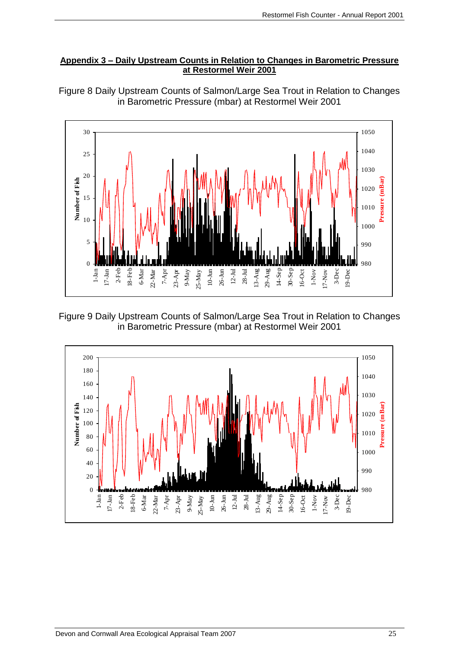#### **Appendix 3 – Daily Upstream Counts in Relation to Changes in Barometric Pressure at Restormel Weir 2001**



Figure 8 Daily Upstream Counts of Salmon/Large Sea Trout in Relation to Changes in Barometric Pressure (mbar) at Restormel Weir 2001

Figure 9 Daily Upstream Counts of Salmon/Large Sea Trout in Relation to Changes in Barometric Pressure (mbar) at Restormel Weir 2001

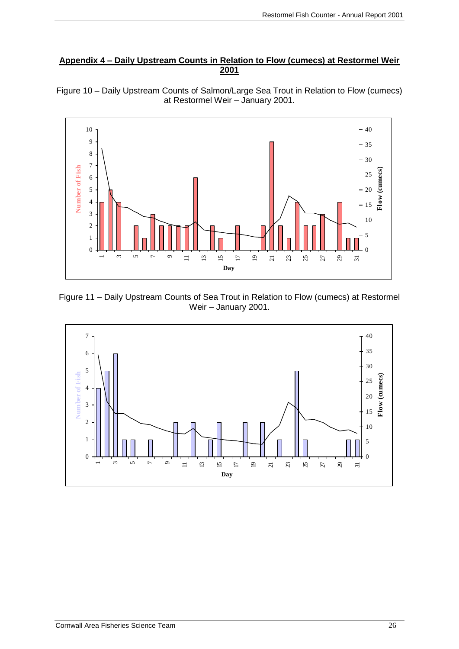#### **Appendix 4 – Daily Upstream Counts in Relation to Flow (cumecs) at Restormel Weir**



Figure 10 – Daily Upstream Counts of Salmon/Large Sea Trout in Relation to Flow (cumecs) at Restormel Weir – January 2001.

Figure 11 – Daily Upstream Counts of Sea Trout in Relation to Flow (cumecs) at Restormel Weir – January 2001.

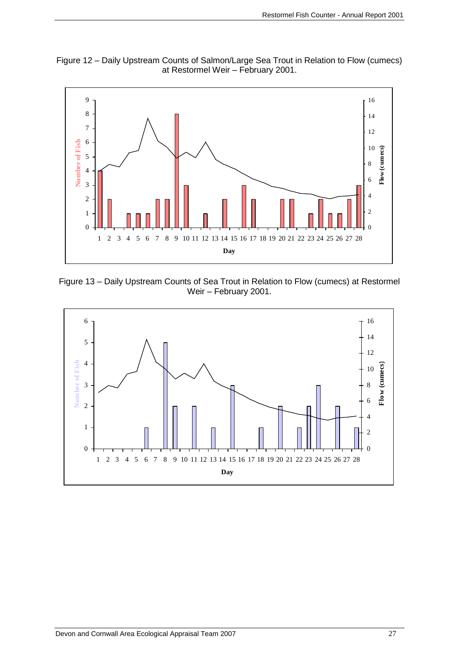

Figure 12 – Daily Upstream Counts of Salmon/Large Sea Trout in Relation to Flow (cumecs) at Restormel Weir – February 2001.

Figure 13 – Daily Upstream Counts of Sea Trout in Relation to Flow (cumecs) at Restormel Weir – February 2001.

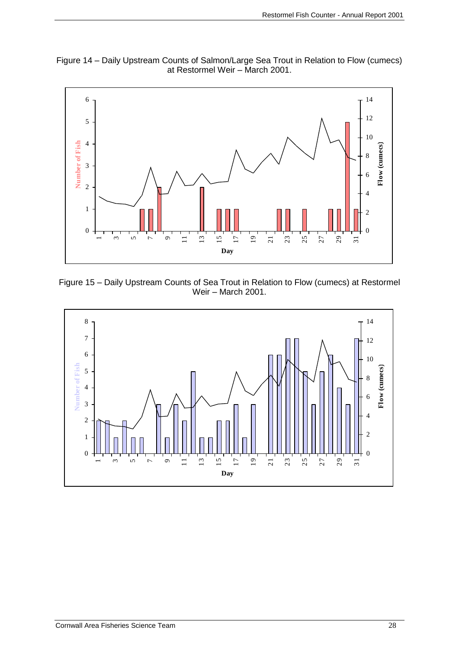



Figure 15 – Daily Upstream Counts of Sea Trout in Relation to Flow (cumecs) at Restormel Weir – March 2001.

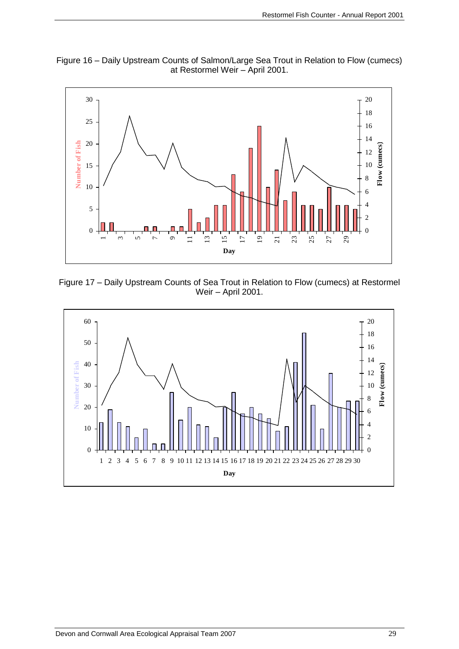



Figure 17 – Daily Upstream Counts of Sea Trout in Relation to Flow (cumecs) at Restormel Weir – April 2001.

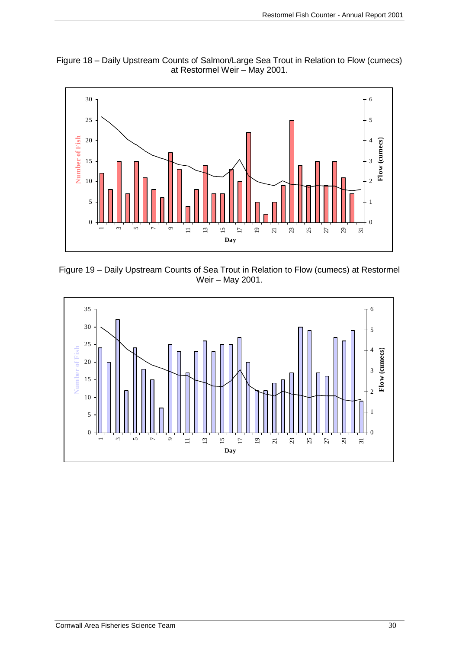



Figure 19 – Daily Upstream Counts of Sea Trout in Relation to Flow (cumecs) at Restormel Weir – May 2001.

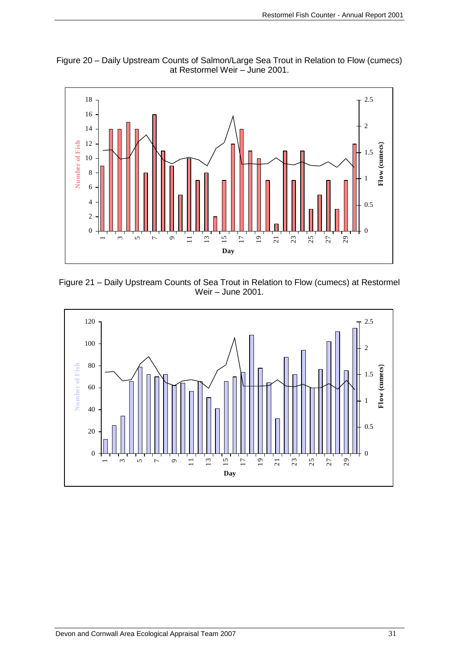



Figure 21 – Daily Upstream Counts of Sea Trout in Relation to Flow (cumecs) at Restormel Weir – June 2001.

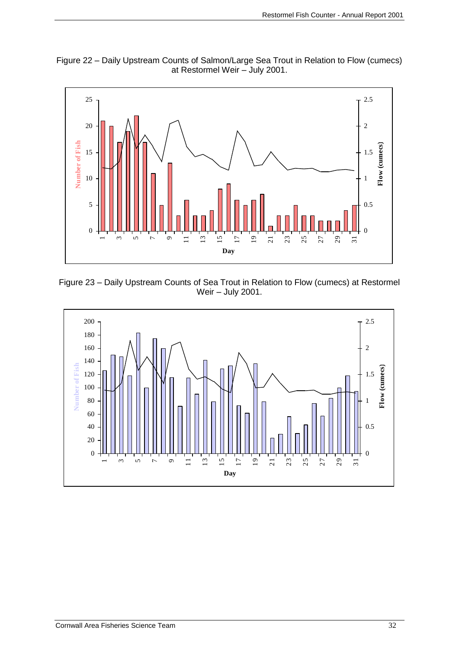



Figure 23 – Daily Upstream Counts of Sea Trout in Relation to Flow (cumecs) at Restormel Weir – July 2001.

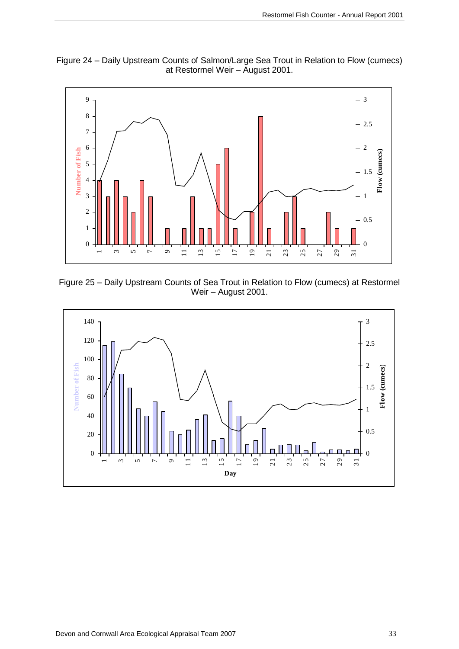



Figure 25 – Daily Upstream Counts of Sea Trout in Relation to Flow (cumecs) at Restormel Weir – August 2001.

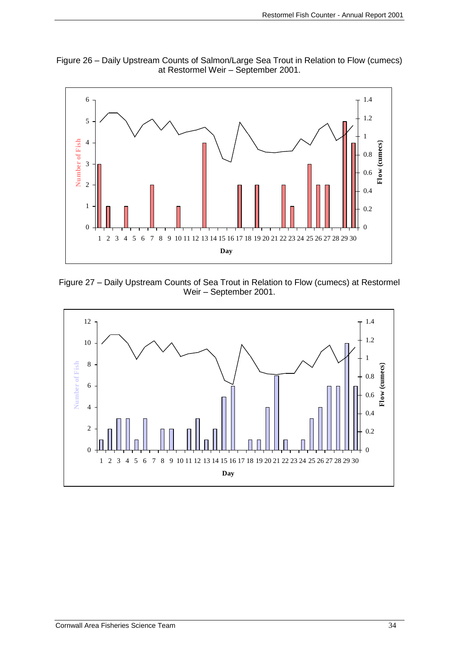

Figure 26 – Daily Upstream Counts of Salmon/Large Sea Trout in Relation to Flow (cumecs) at Restormel Weir – September 2001.

Figure 27 – Daily Upstream Counts of Sea Trout in Relation to Flow (cumecs) at Restormel Weir – September 2001.

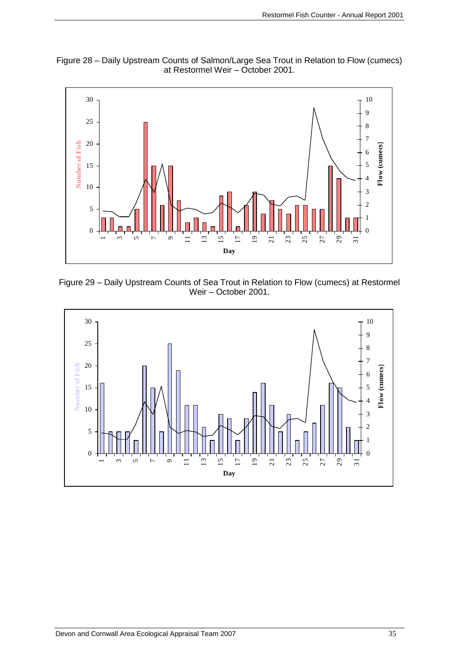![](_page_34_Figure_1.jpeg)

![](_page_34_Figure_2.jpeg)

Figure 29 – Daily Upstream Counts of Sea Trout in Relation to Flow (cumecs) at Restormel Weir – October 2001.

![](_page_34_Figure_4.jpeg)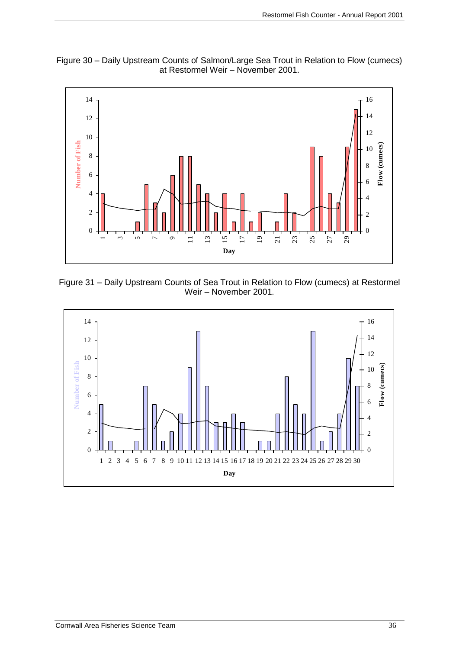![](_page_35_Figure_1.jpeg)

Figure 30 – Daily Upstream Counts of Salmon/Large Sea Trout in Relation to Flow (cumecs) at Restormel Weir – November 2001.

Figure 31 – Daily Upstream Counts of Sea Trout in Relation to Flow (cumecs) at Restormel Weir – November 2001.

![](_page_35_Figure_4.jpeg)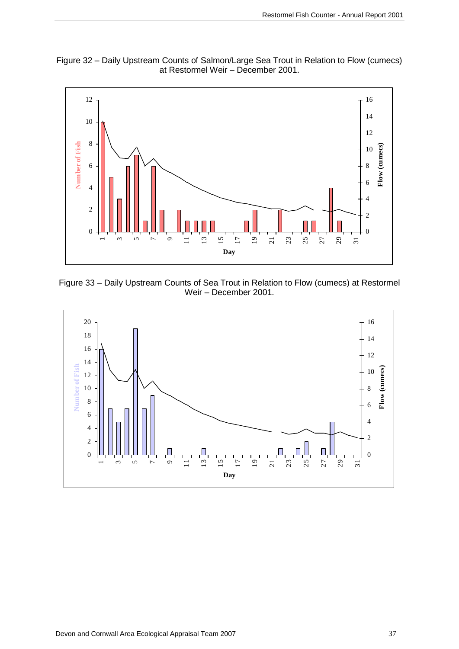![](_page_36_Figure_1.jpeg)

Figure 32 – Daily Upstream Counts of Salmon/Large Sea Trout in Relation to Flow (cumecs)

![](_page_36_Figure_3.jpeg)

Figure 33 – Daily Upstream Counts of Sea Trout in Relation to Flow (cumecs) at Restormel Weir – December 2001.

![](_page_36_Figure_5.jpeg)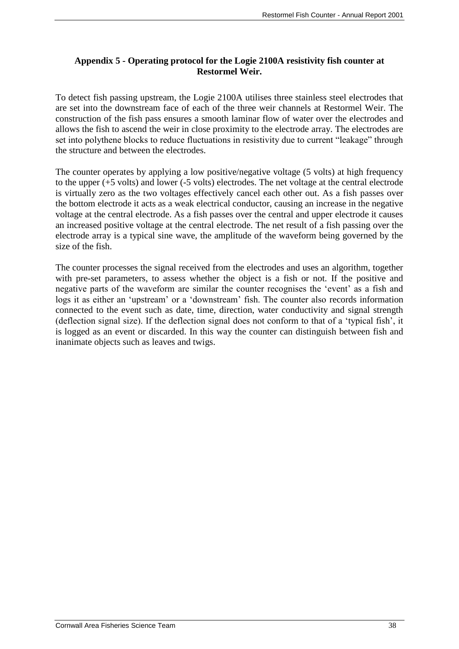#### **Appendix 5 - Operating protocol for the Logie 2100A resistivity fish counter at Restormel Weir.**

To detect fish passing upstream, the Logie 2100A utilises three stainless steel electrodes that are set into the downstream face of each of the three weir channels at Restormel Weir. The construction of the fish pass ensures a smooth laminar flow of water over the electrodes and allows the fish to ascend the weir in close proximity to the electrode array. The electrodes are set into polythene blocks to reduce fluctuations in resistivity due to current "leakage" through the structure and between the electrodes.

The counter operates by applying a low positive/negative voltage (5 volts) at high frequency to the upper (+5 volts) and lower (-5 volts) electrodes. The net voltage at the central electrode is virtually zero as the two voltages effectively cancel each other out. As a fish passes over the bottom electrode it acts as a weak electrical conductor, causing an increase in the negative voltage at the central electrode. As a fish passes over the central and upper electrode it causes an increased positive voltage at the central electrode. The net result of a fish passing over the electrode array is a typical sine wave, the amplitude of the waveform being governed by the size of the fish.

The counter processes the signal received from the electrodes and uses an algorithm, together with pre-set parameters, to assess whether the object is a fish or not. If the positive and negative parts of the waveform are similar the counter recognises the 'event' as a fish and logs it as either an 'upstream' or a 'downstream' fish. The counter also records information connected to the event such as date, time, direction, water conductivity and signal strength (deflection signal size). If the deflection signal does not conform to that of a 'typical fish', it is logged as an event or discarded. In this way the counter can distinguish between fish and inanimate objects such as leaves and twigs.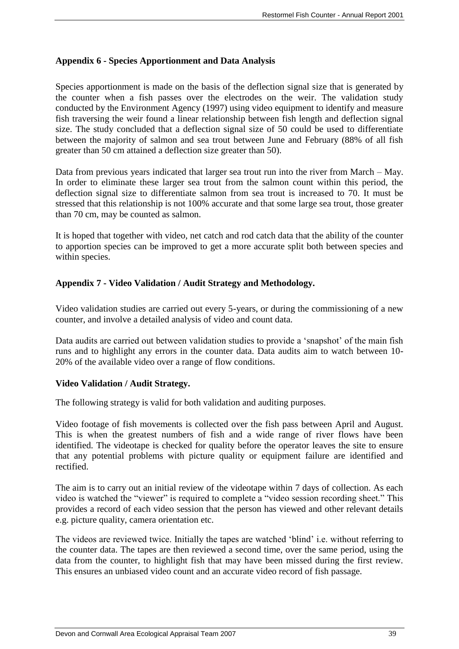#### **Appendix 6 - Species Apportionment and Data Analysis**

Species apportionment is made on the basis of the deflection signal size that is generated by the counter when a fish passes over the electrodes on the weir. The validation study conducted by the Environment Agency (1997) using video equipment to identify and measure fish traversing the weir found a linear relationship between fish length and deflection signal size. The study concluded that a deflection signal size of 50 could be used to differentiate between the majority of salmon and sea trout between June and February (88% of all fish greater than 50 cm attained a deflection size greater than 50).

Data from previous years indicated that larger sea trout run into the river from March – May. In order to eliminate these larger sea trout from the salmon count within this period, the deflection signal size to differentiate salmon from sea trout is increased to 70. It must be stressed that this relationship is not 100% accurate and that some large sea trout, those greater than 70 cm, may be counted as salmon.

It is hoped that together with video, net catch and rod catch data that the ability of the counter to apportion species can be improved to get a more accurate split both between species and within species.

#### **Appendix 7 - Video Validation / Audit Strategy and Methodology.**

Video validation studies are carried out every 5-years, or during the commissioning of a new counter, and involve a detailed analysis of video and count data.

Data audits are carried out between validation studies to provide a 'snapshot' of the main fish runs and to highlight any errors in the counter data. Data audits aim to watch between 10- 20% of the available video over a range of flow conditions.

#### **Video Validation / Audit Strategy.**

The following strategy is valid for both validation and auditing purposes.

Video footage of fish movements is collected over the fish pass between April and August. This is when the greatest numbers of fish and a wide range of river flows have been identified. The videotape is checked for quality before the operator leaves the site to ensure that any potential problems with picture quality or equipment failure are identified and rectified.

The aim is to carry out an initial review of the videotape within 7 days of collection. As each video is watched the "viewer" is required to complete a "video session recording sheet." This provides a record of each video session that the person has viewed and other relevant details e.g. picture quality, camera orientation etc.

The videos are reviewed twice. Initially the tapes are watched 'blind' i.e. without referring to the counter data. The tapes are then reviewed a second time, over the same period, using the data from the counter, to highlight fish that may have been missed during the first review. This ensures an unbiased video count and an accurate video record of fish passage.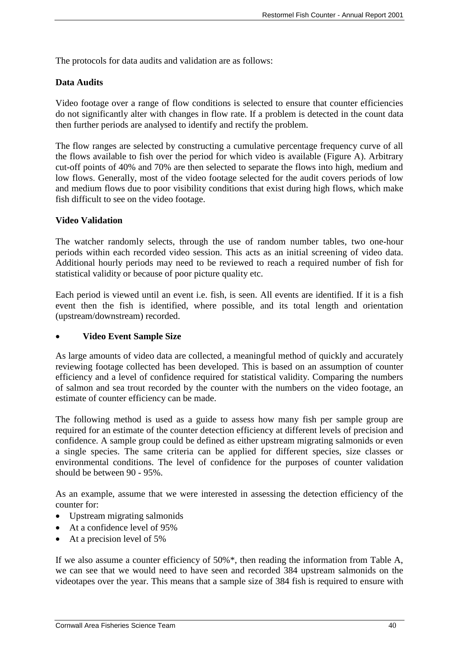The protocols for data audits and validation are as follows:

#### **Data Audits**

Video footage over a range of flow conditions is selected to ensure that counter efficiencies do not significantly alter with changes in flow rate. If a problem is detected in the count data then further periods are analysed to identify and rectify the problem.

The flow ranges are selected by constructing a cumulative percentage frequency curve of all the flows available to fish over the period for which video is available (Figure A). Arbitrary cut-off points of 40% and 70% are then selected to separate the flows into high, medium and low flows. Generally, most of the video footage selected for the audit covers periods of low and medium flows due to poor visibility conditions that exist during high flows, which make fish difficult to see on the video footage.

#### **Video Validation**

The watcher randomly selects, through the use of random number tables, two one-hour periods within each recorded video session. This acts as an initial screening of video data. Additional hourly periods may need to be reviewed to reach a required number of fish for statistical validity or because of poor picture quality etc.

Each period is viewed until an event i.e. fish, is seen. All events are identified. If it is a fish event then the fish is identified, where possible, and its total length and orientation (upstream/downstream) recorded.

#### **Video Event Sample Size**

As large amounts of video data are collected, a meaningful method of quickly and accurately reviewing footage collected has been developed. This is based on an assumption of counter efficiency and a level of confidence required for statistical validity. Comparing the numbers of salmon and sea trout recorded by the counter with the numbers on the video footage, an estimate of counter efficiency can be made.

The following method is used as a guide to assess how many fish per sample group are required for an estimate of the counter detection efficiency at different levels of precision and confidence. A sample group could be defined as either upstream migrating salmonids or even a single species. The same criteria can be applied for different species, size classes or environmental conditions. The level of confidence for the purposes of counter validation should be between 90 - 95%.

As an example, assume that we were interested in assessing the detection efficiency of the counter for:

- Upstream migrating salmonids
- At a confidence level of 95%
- At a precision level of 5%

If we also assume a counter efficiency of 50%\*, then reading the information from Table A, we can see that we would need to have seen and recorded 384 upstream salmonids on the videotapes over the year. This means that a sample size of 384 fish is required to ensure with